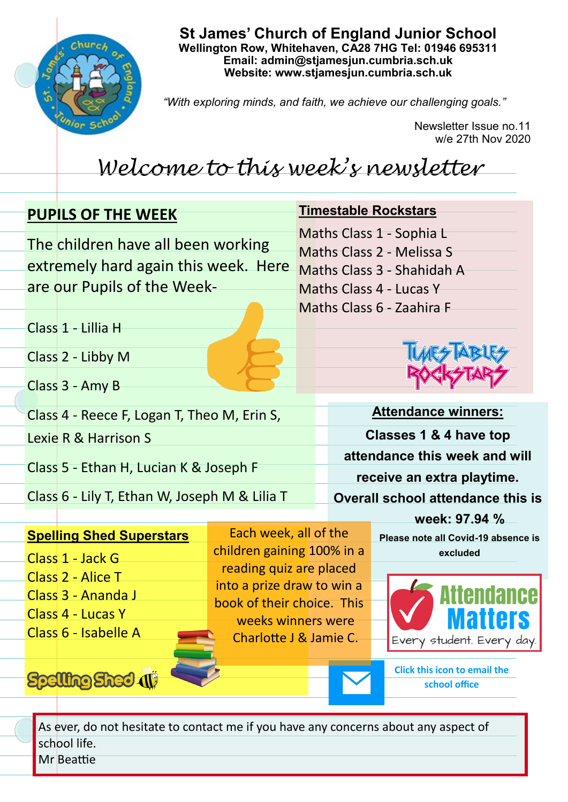

**St James' Church of England Junior School Wellington Row, Whitehaven, CA28 7HG Tel: 01946 695311 Email: admin@stjamesjun.cumbria.sch.uk Website: www.stjamesjun.cumbria.sch.uk**

*"With exploring minds, and faith, we achieve our challenging goals."*

Newsletter Issue no.11 w/e 27th Nov 2020

## *Welcome to this week's newsletter*

|               |  | <b>PUPILS OF THE WEEK</b>                                                  |                            |  | <b>Timestable Rockstars</b>                                            |                                                      |  |
|---------------|--|----------------------------------------------------------------------------|----------------------------|--|------------------------------------------------------------------------|------------------------------------------------------|--|
|               |  | The children have all been working<br>extremely hard again this week. Here |                            |  | Maths Class 1 - Sophia L<br>Maths Class 2 - Melissa S                  |                                                      |  |
|               |  |                                                                            |                            |  | Maths Class 3 - Shahidah A                                             |                                                      |  |
|               |  | are our Pupils of the Week-                                                |                            |  | Maths Class 4 - Lucas Y                                                |                                                      |  |
|               |  | Class 1 - Lillia H                                                         |                            |  | Maths Class 6 - Zaahira F                                              |                                                      |  |
|               |  | Class 2 - Libby M                                                          |                            |  |                                                                        |                                                      |  |
|               |  | Class 3 - Amy B                                                            |                            |  |                                                                        |                                                      |  |
|               |  | Class 4 - Reece F, Logan T, Theo M, Erin S,                                |                            |  | <b>Attendance winners:</b>                                             |                                                      |  |
|               |  | Lexie R & Harrison S                                                       |                            |  | Classes 1 & 4 have top                                                 |                                                      |  |
|               |  | Class 5 - Ethan H, Lucian K & Joseph F                                     |                            |  | attendance this week and will                                          |                                                      |  |
|               |  | Class 6 - Lily T, Ethan W, Joseph M & Lilia T                              |                            |  | receive an extra playtime.<br><b>Overall school attendance this is</b> |                                                      |  |
| week: 97.94 % |  |                                                                            |                            |  |                                                                        |                                                      |  |
|               |  | <b>Spelling Shed Superstars</b>                                            | Each week, all of the      |  |                                                                        | Please note all Covid-19 absence is                  |  |
|               |  | Class 1 - Jack G                                                           | children gaining 100% in a |  |                                                                        | excluded                                             |  |
|               |  | Class 2 - Alice T                                                          | reading quiz are placed    |  |                                                                        |                                                      |  |
|               |  | Class 3 - Ananda J                                                         | into a prize draw to win a |  |                                                                        |                                                      |  |
|               |  | Class 4 - Lucas Y                                                          | book of their choice. This |  |                                                                        |                                                      |  |
|               |  | Class 6 - Isabelle A                                                       | weeks winners were         |  |                                                                        |                                                      |  |
|               |  |                                                                            | Charlotte J & Jamie C.     |  |                                                                        | Every student. Every day.                            |  |
|               |  | <b>Spelling Sheet 4</b>                                                    |                            |  |                                                                        | <b>Click this icon to email the</b><br>school office |  |

As ever, do not hesitate to contact me if you have any concerns about any aspect of school life. Mr Beattie